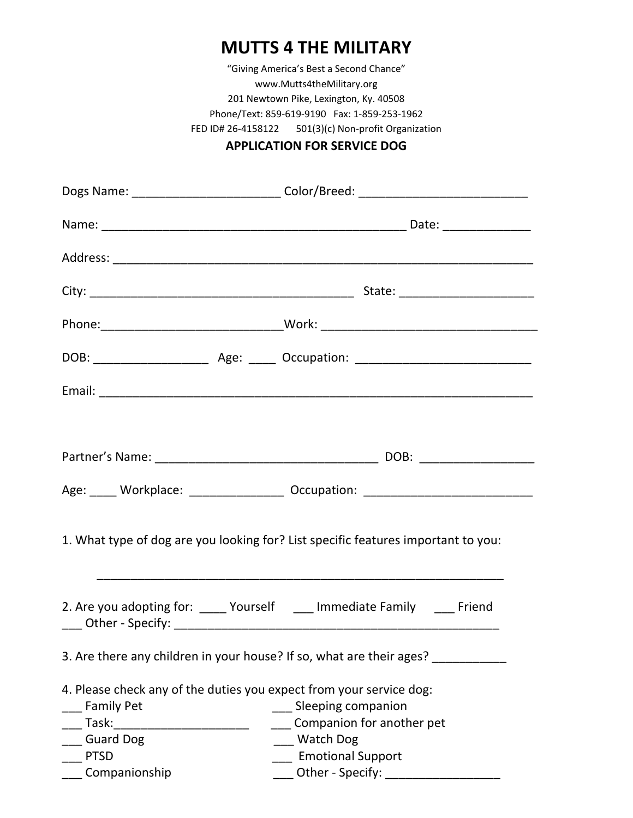## **MUTTS 4 THE MILITARY**

"Giving America's Best a Second Chance" www.Mutts4theMilitary.org 201 Newtown Pike, Lexington, Ky. 40508 Phone/Text: 859‐619‐9190 Fax: 1‐859‐253‐1962 FED ID# 26‐4158122 501(3)(c) Non‐profit Organization

## **APPLICATION FOR SERVICE DOG**

|                                                                                   | Dogs Name: _______________________________Color/Breed: _________________________ |  |  |  |
|-----------------------------------------------------------------------------------|----------------------------------------------------------------------------------|--|--|--|
|                                                                                   |                                                                                  |  |  |  |
|                                                                                   |                                                                                  |  |  |  |
|                                                                                   |                                                                                  |  |  |  |
|                                                                                   | Phone:__________________________________Work: __________________________________ |  |  |  |
|                                                                                   |                                                                                  |  |  |  |
|                                                                                   |                                                                                  |  |  |  |
|                                                                                   |                                                                                  |  |  |  |
|                                                                                   |                                                                                  |  |  |  |
|                                                                                   | Age: _____ Workplace: __________________ Occupation: ___________________________ |  |  |  |
| 1. What type of dog are you looking for? List specific features important to you: |                                                                                  |  |  |  |
|                                                                                   | 2. Are you adopting for: _____ Yourself ____ Immediate Family ____ Friend        |  |  |  |
|                                                                                   | 3. Are there any children in your house? If so, what are their ages? ________    |  |  |  |
| 4. Please check any of the duties you expect from your service dog:               |                                                                                  |  |  |  |
| <b>Family Pet</b>                                                                 | __ Sleeping companion                                                            |  |  |  |
|                                                                                   | ___ Companion for another pet                                                    |  |  |  |
| <b>Guard Dog</b>                                                                  | __ Watch Dog                                                                     |  |  |  |
| <b>PTSD</b>                                                                       | <b>Emotional Support</b>                                                         |  |  |  |
| ____ Companionship                                                                | ____ Other - Specify: _________________                                          |  |  |  |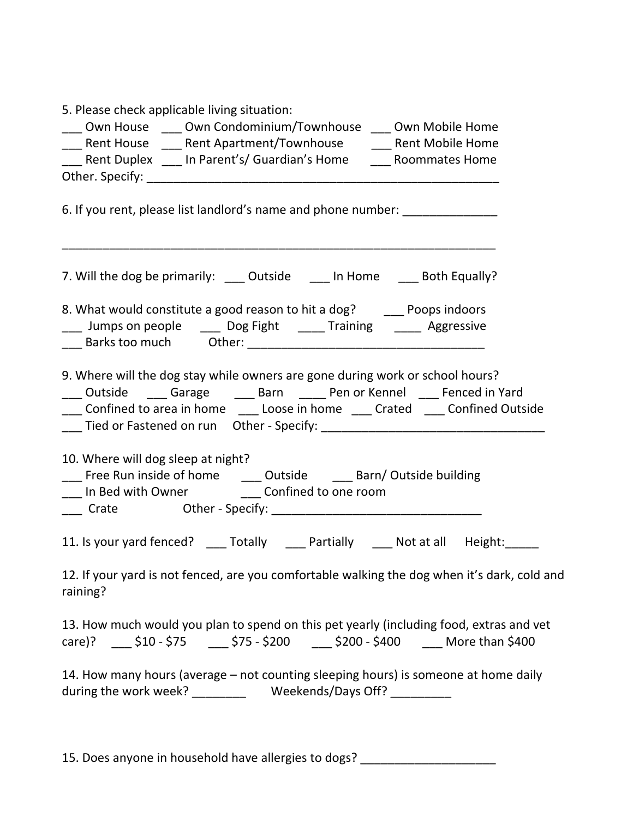| 5. Please check applicable living situation:                                                                                                                                                                                                     |
|--------------------------------------------------------------------------------------------------------------------------------------------------------------------------------------------------------------------------------------------------|
| ___ Own House ____ Own Condominium/Townhouse ___ Own Mobile Home                                                                                                                                                                                 |
| ___ Rent House ____ Rent Apartment/Townhouse _____ Rent Mobile Home                                                                                                                                                                              |
| ___ Rent Duplex ___ In Parent's/ Guardian's Home ____ Roommates Home                                                                                                                                                                             |
|                                                                                                                                                                                                                                                  |
| 6. If you rent, please list landlord's name and phone number: _________________                                                                                                                                                                  |
| 7. Will the dog be primarily: ____ Outside ____ In Home ____ Both Equally?                                                                                                                                                                       |
| 8. What would constitute a good reason to hit a dog? ______ Poops indoors<br>___ Jumps on people ____ Dog Fight _____ Training _____ Aggressive                                                                                                  |
| 9. Where will the dog stay while owners are gone during work or school hours?<br>___ Outside ____ Garage _____ Barn _____ Pen or Kennel ____ Fenced in Yard<br>___ Confined to area in home ____ Loose in home ____ Crated ____ Confined Outside |
| 10. Where will dog sleep at night?<br>___ Free Run inside of home _____ Outside ____ Barn/ Outside building<br>___ In Bed with Owner __________ Confined to one room                                                                             |
| 11. Is your yard fenced? ____ Totally ____ Partially ____ Not at all Height: ____                                                                                                                                                                |
| 12. If your yard is not fenced, are you comfortable walking the dog when it's dark, cold and<br>raining?                                                                                                                                         |
| 13. How much would you plan to spend on this pet yearly (including food, extras and vet<br>care)? _____ \$10 - \$75 ______ \$75 - \$200 _____ \$200 - \$400 _____ More than \$400                                                                |
| 14. How many hours (average – not counting sleeping hours) is someone at home daily                                                                                                                                                              |
|                                                                                                                                                                                                                                                  |

15. Does anyone in household have allergies to dogs? \_\_\_\_\_\_\_\_\_\_\_\_\_\_\_\_\_\_\_\_\_\_\_\_\_\_\_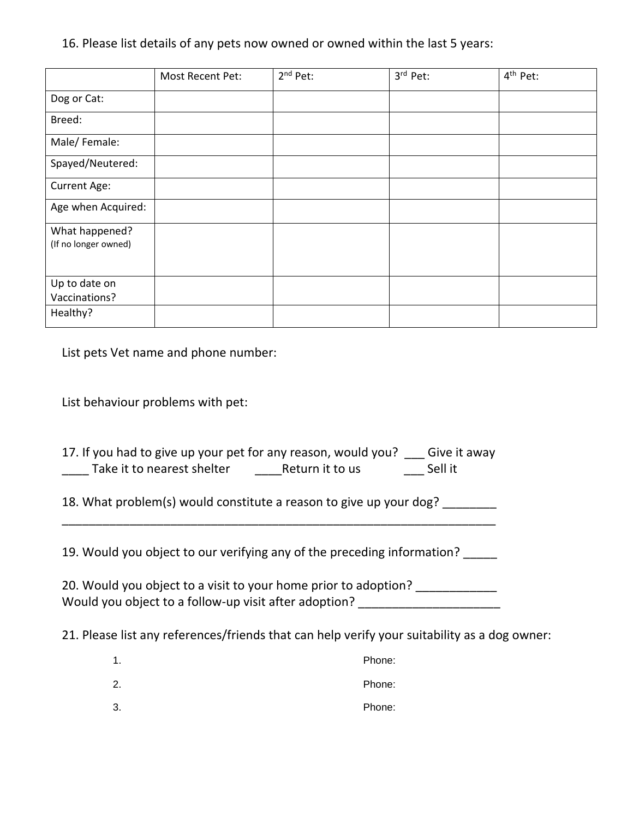16. Please list details of any pets now owned or owned within the last 5 years:

|                                        | Most Recent Pet: | $2nd$ Pet: | 3rd Pet: | 4 <sup>th</sup> Pet: |
|----------------------------------------|------------------|------------|----------|----------------------|
| Dog or Cat:                            |                  |            |          |                      |
| Breed:                                 |                  |            |          |                      |
| Male/Female:                           |                  |            |          |                      |
| Spayed/Neutered:                       |                  |            |          |                      |
| Current Age:                           |                  |            |          |                      |
| Age when Acquired:                     |                  |            |          |                      |
| What happened?<br>(If no longer owned) |                  |            |          |                      |
| Up to date on<br>Vaccinations?         |                  |            |          |                      |
| Healthy?                               |                  |            |          |                      |

List pets Vet name and phone number:

List behaviour problems with pet:

| 17. If you had to give up your pet for any reason, would you? |                 | Give it away |
|---------------------------------------------------------------|-----------------|--------------|
| Take it to nearest shelter                                    | Return it to us | Sell it      |

18. What problem(s) would constitute a reason to give up your dog?

19. Would you object to our verifying any of the preceding information? \_\_\_\_\_

\_\_\_\_\_\_\_\_\_\_\_\_\_\_\_\_\_\_\_\_\_\_\_\_\_\_\_\_\_\_\_\_\_\_\_\_\_\_\_\_\_\_\_\_\_\_\_\_\_\_\_\_\_\_\_\_\_\_\_\_\_\_\_\_

20. Would you object to a visit to your home prior to adoption? \_\_\_\_\_\_\_\_\_\_\_ Would you object to a follow-up visit after adoption?

21. Please list any references/friends that can help verify your suitability as a dog owner:

| Phone:<br>1. |  |
|--------------|--|
|--------------|--|

2. Phone:

3. Phone: